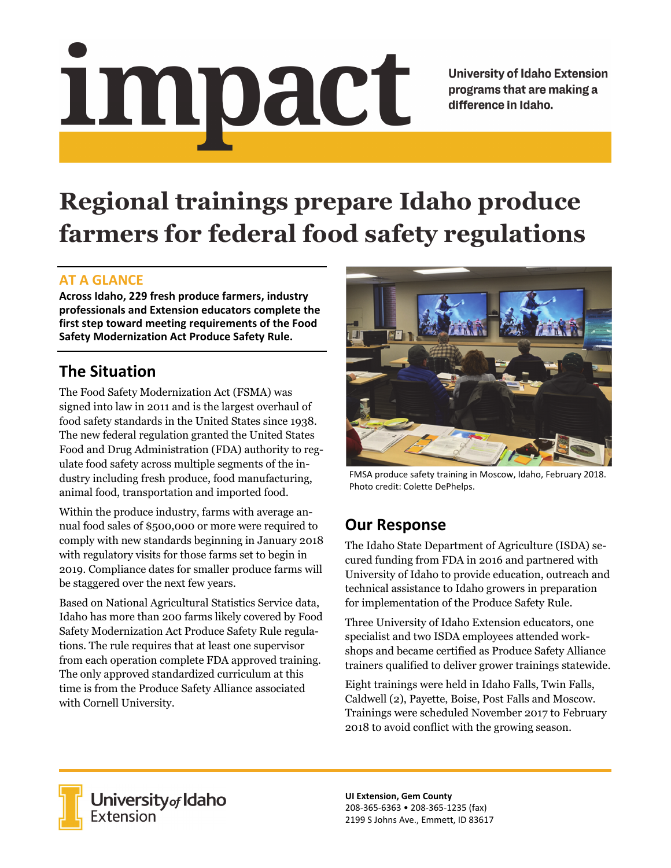# Impact

**University of Idaho Extension** programs that are making a difference in Idaho.

# **Regional trainings prepare Idaho produce farmers for federal food safety regulations**

#### **AT A GLANCE**

**Across Idaho, 229 fresh produce farmers, industry professionals and Extension educators complete the first step toward meeting requirements of the Food Safety Modernization Act Produce Safety Rule.**

# **The Situation**

The Food Safety Modernization Act (FSMA) was signed into law in 2011 and is the largest overhaul of food safety standards in the United States since 1938. The new federal regulation granted the United States Food and Drug Administration (FDA) authority to regulate food safety across multiple segments of the industry including fresh produce, food manufacturing, animal food, transportation and imported food.

Within the produce industry, farms with average annual food sales of \$500,000 or more were required to comply with new standards beginning in January 2018 with regulatory visits for those farms set to begin in 2019. Compliance dates for smaller produce farms will be staggered over the next few years.

Based on National Agricultural Statistics Service data, Idaho has more than 200 farms likely covered by Food Safety Modernization Act Produce Safety Rule regulations. The rule requires that at least one supervisor from each operation complete FDA approved training. The only approved standardized curriculum at this time is from the Produce Safety Alliance associated with Cornell University.



FMSA produce safety training in Moscow, Idaho, February 2018. Photo credit: Colette DePhelps.

# **Our Response**

The Idaho State Department of Agriculture (ISDA) secured funding from FDA in 2016 and partnered with University of Idaho to provide education, outreach and technical assistance to Idaho growers in preparation for implementation of the Produce Safety Rule.

Three University of Idaho Extension educators, one specialist and two ISDA employees attended workshops and became certified as Produce Safety Alliance trainers qualified to deliver grower trainings statewide.

Eight trainings were held in Idaho Falls, Twin Falls, Caldwell (2), Payette, Boise, Post Falls and Moscow. Trainings were scheduled November 2017 to February 2018 to avoid conflict with the growing season.



**University<sub>of</sub> Idaho**<br>Extension

**UI Extension, Gem County** 208‐365‐6363 • 208‐365‐1235 (fax) 2199 S Johns Ave., Emmett, ID 83617